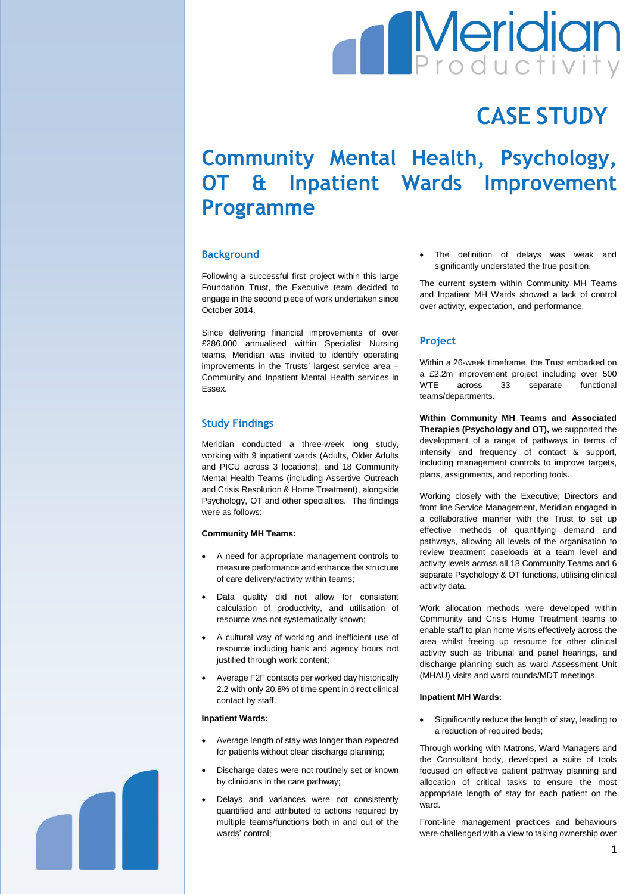

# **CASE STUDY**

# **Community Mental Health, Psychology, OT & Inpatient Wards Improvement Programme**

# **Background**

Following a successful first project within this large Foundation Trust, the Executive team decided to engage in the second piece of work undertaken since October 2014.

Since delivering financial improvements of over £286,000 annualised within Specialist Nursing teams, Meridian was invited to identify operating improvements in the Trusts' largest service area – Community and Inpatient Mental Health services in Essex.

# **Study Findings**

Meridian conducted a three-week long study, working with 9 inpatient wards (Adults, Older Adults and PICU across 3 locations), and 18 Community Mental Health Teams (including Assertive Outreach and Crisis Resolution & Home Treatment), alongside Psychology, OT and other specialties. The findings were as follows:

## **Community MH Teams:**

- A need for appropriate management controls to measure performance and enhance the structure of care delivery/activity within teams;
- Data quality did not allow for consistent calculation of productivity, and utilisation of resource was not systematically known;
- A cultural way of working and inefficient use of resource including bank and agency hours not justified through work content;
- Average F2F contacts per worked day historically 2.2 with only 20.8% of time spent in direct clinical contact by staff.

## **Inpatient Wards:**

- Average length of stay was longer than expected for patients without clear discharge planning:
- Discharge dates were not routinely set or known by clinicians in the care pathway;
- Delays and variances were not consistently quantified and attributed to actions required by multiple teams/functions both in and out of the wards' control:

 The definition of delays was weak and significantly understated the true position.

The current system within Community MH Teams and Inpatient MH Wards showed a lack of control over activity, expectation, and performance.

# **Project**

Within a 26-week timeframe, the Trust embarked on a £2.2m improvement project including over 500 WTE across 33 separate functional teams/departments.

**Within Community MH Teams and Associated Therapies (Psychology and OT),** we supported the development of a range of pathways in terms of intensity and frequency of contact & support, including management controls to improve targets, plans, assignments, and reporting tools.

Working closely with the Executive, Directors and front line Service Management, Meridian engaged in a collaborative manner with the Trust to set up effective methods of quantifying demand and pathways, allowing all levels of the organisation to review treatment caseloads at a team level and activity levels across all 18 Community Teams and 6 separate Psychology & OT functions, utilising clinical activity data.

Work allocation methods were developed within Community and Crisis Home Treatment teams to enable staff to plan home visits effectively across the area whilst freeing up resource for other clinical activity such as tribunal and panel hearings, and discharge planning such as ward Assessment Unit (MHAU) visits and ward rounds/MDT meetings.

#### **Inpatient MH Wards:**

 Significantly reduce the length of stay, leading to a reduction of required beds;

Through working with Matrons, Ward Managers and the Consultant body, developed a suite of tools focused on effective patient pathway planning and allocation of critical tasks to ensure the most appropriate length of stay for each patient on the ward.

Front-line management practices and behaviours were challenged with a view to taking ownership over